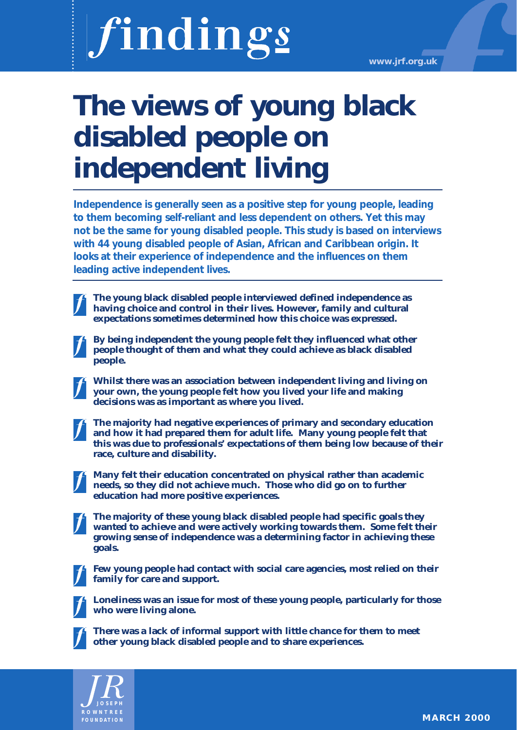# findings

**www.jrf.org.uk**

## **The views of young black disabled people on independent living**

**Independence is generally seen as a positive step for young people, leading to them becoming self-reliant and less dependent on others. Yet this may not be the same for young disabled people. This study is based on interviews with 44 young disabled people of Asian, African and Caribbean origin. It looks at their experience of independence and the influences on them leading active independent lives.**

**The young black disabled people interviewed defined independence as having choice and control in their lives. However, family and cultural expectations sometimes determined how this choice was expressed.**

**By being independent the young people felt they influenced what other people thought of them and what they could achieve as black disabled people.**

**Whilst there was an association between independent living and living on your own, the young people felt how you lived your life and making decisions was as important as where you lived.**

**The majority had negative experiences of primary and secondary education and how it had prepared them for adult life. Many young people felt that this was due to professionals' expectations of them being low because of their race, culture and disability.**

**Many felt their education concentrated on physical rather than academic needs, so they did not achieve much. Those who did go on to further education had more positive experiences.**

**The majority of these young black disabled people had specific goals they wanted to achieve and were actively working towards them. Some felt their growing sense of independence was a determining factor in achieving these goals.**

**Few young people had contact with social care agencies, most relied on their family for care and support.**



**Loneliness was an issue for most of these young people, particularly for those who were living alone.**



**There was a lack of informal support with little chance for them to meet other young black disabled people and to share experiences.**

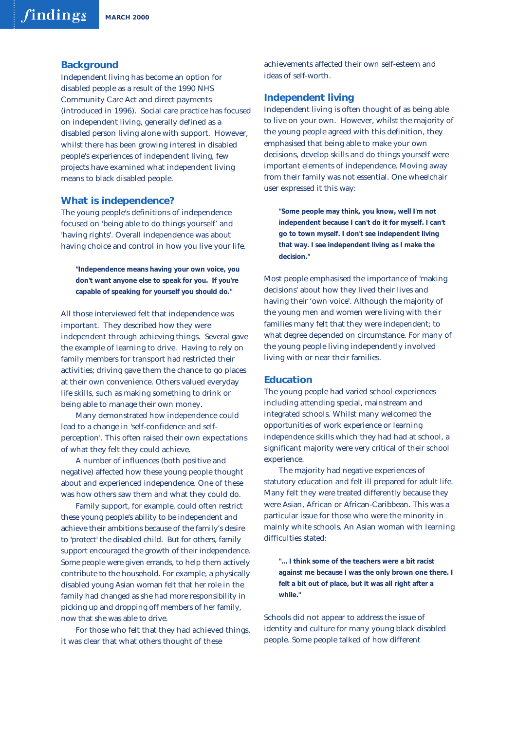#### **Background**

Independent living has become an option for disabled people as a result of the 1990 NHS Community Care Act and direct payments (introduced in 1996). Social care practice has focused on independent living, generally defined as a disabled person living alone with support. However, whilst there has been growing interest in disabled people's experiences of independent living, few projects have examined what independent living means to black disabled people.

#### **What is independence?**

The young people's definitions of independence focused on 'being able to do things yourself' and 'having rights'. Overall independence was about having choice and control in how you live your life.

**"Independence means having your own voice, you don't want anyone else to speak for you. If you're capable of speaking for yourself you should do."**

All those interviewed felt that independence was important. They described how they were independent through achieving things. Several gave the example of learning to drive. Having to rely on family members for transport had restricted their activities; driving gave them the chance to go places at their own convenience. Others valued everyday life skills, such as making something to drink or being able to manage their own money.

Many demonstrated how independence could lead to a change in 'self-confidence and selfperception'. This often raised their own expectations of what they felt they could achieve.

A number of influences (both positive and negative) affected how these young people thought about and experienced independence. One of these was how others saw them and what they could do.

Family support, for example, could often restrict these young people's ability to be independent and achieve their ambitions because of the family's desire to 'protect' the disabled child. But for others, family support encouraged the growth of their independence. Some people were given errands, to help them actively contribute to the household. For example, a physically disabled young Asian woman felt that her role in the family had changed as she had more responsibility in picking up and dropping off members of her family, now that she was able to drive.

For those who felt that they had achieved things, it was clear that what others thought of these

achievements affected their own self-esteem and ideas of self-worth.

#### **Independent living**

Independent living is often thought of as being able to live on your own. However, whilst the majority of the young people agreed with this definition, they emphasised that being able to make your own decisions, develop skills and do things yourself were important elements of independence. Moving away from their family was not essential. One wheelchair user expressed it this way:

**"Some people may think, you know, well I'm not independent because I can't do it for myself. I can't go to town myself. I don't see independent living that way. I see independent living as I make the decision."**

Most people emphasised the importance of 'making decisions' about how they lived their lives and having their 'own voice'. Although the majority of the young men and women were living with their families many felt that they were independent; to what degree depended on circumstance. For many of the young people living independently involved living with or near their families.

#### **Education**

The young people had varied school experiences including attending special, mainstream and integrated schools. Whilst many welcomed the opportunities of work experience or learning independence skills which they had had at school, a significant majority were very critical of their school experience.

The majority had negative experiences of statutory education and felt ill prepared for adult life. Many felt they were treated differently because they were Asian, African or African-Caribbean. This was a particular issue for those who were the minority in mainly white schools. An Asian woman with learning difficulties stated:

**"... I think some of the teachers were a bit racist against me because I was the only brown one there. I felt a bit out of place, but it was all right after a while."**

Schools did not appear to address the issue of identity and culture for many young black disabled people. Some people talked of how different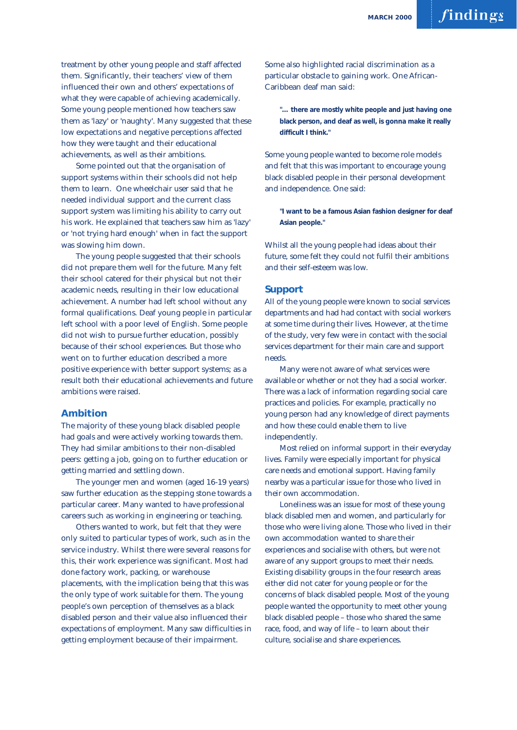treatment by other young people and staff affected them. Significantly, their teachers' view of them influenced their own and others' expectations of what they were capable of achieving academically. Some young people mentioned how teachers saw them as 'lazy' or 'naughty'. Many suggested that these low expectations and negative perceptions affected how they were taught and their educational achievements, as well as their ambitions.

Some pointed out that the organisation of support systems within their schools did not help them to learn. One wheelchair user said that he needed individual support and the current class support system was limiting his ability to carry out his work. He explained that teachers saw him as 'lazy' or 'not trying hard enough' when in fact the support was slowing him down.

The young people suggested that their schools did not prepare them well for the future. Many felt their school catered for their physical but not their academic needs, resulting in their low educational achievement. A number had left school without any formal qualifications. Deaf young people in particular left school with a poor level of English. Some people did not wish to pursue further education, possibly because of their school experiences. But those who went on to further education described a more positive experience with better support systems; as a result both their educational achievements and future ambitions were raised.

#### **Ambition**

The majority of these young black disabled people had goals and were actively working towards them. They had similar ambitions to their non-disabled peers: getting a job, going on to further education or getting married and settling down.

The younger men and women (aged 16-19 years) saw further education as the stepping stone towards a particular career. Many wanted to have professional careers such as working in engineering or teaching.

Others wanted to work, but felt that they were only suited to particular types of work, such as in the service industry. Whilst there were several reasons for this, their work experience was significant. Most had done factory work, packing, or warehouse placements, with the implication being that this was the only type of work suitable for them. The young people's own perception of themselves as a black disabled person and their value also influenced their expectations of employment. Many saw difficulties in getting employment because of their impairment.

Some also highlighted racial discrimination as a particular obstacle to gaining work. One African-Caribbean deaf man said:

**"… there are mostly white people and just having one black person, and deaf as well, is gonna make it really difficult I think."** 

Some young people wanted to become role models and felt that this was important to encourage young black disabled people in their personal development and independence. One said:

**"I want to be a famous Asian fashion designer for deaf Asian people."**

Whilst all the young people had ideas about their future, some felt they could not fulfil their ambitions and their self-esteem was low.

#### **Support**

All of the young people were known to social services departments and had had contact with social workers at some time during their lives. However, at the time of the study, very few were in contact with the social services department for their main care and support needs.

Many were not aware of what services were available or whether or not they had a social worker. There was a lack of information regarding social care practices and policies. For example, practically no young person had any knowledge of direct payments and how these could enable them to live independently.

Most relied on informal support in their everyday lives. Family were especially important for physical care needs and emotional support. Having family nearby was a particular issue for those who lived in their own accommodation.

Loneliness was an issue for most of these young black disabled men and women, and particularly for those who were living alone. Those who lived in their own accommodation wanted to share their experiences and socialise with others, but were not aware of any support groups to meet their needs. Existing disability groups in the four research areas either did not cater for young people or for the concerns of black disabled people. Most of the young people wanted the opportunity to meet other young black disabled people – those who shared the same race, food, and way of life – to learn about their culture, socialise and share experiences.